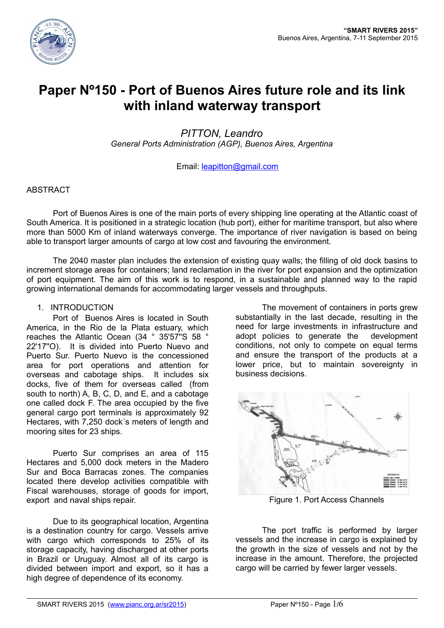

# **Paper Nº150 - Port of Buenos Aires future role and its link with inland waterway transport**

*PITTON, Leandro General Ports Administration (AGP), Buenos Aires, Argentina*

#### Email: leapitton@gmail.com

#### ABSTRACT

Port of Buenos Aires is one of the main ports of every shipping line operating at the Atlantic coast of South America. It is positioned in a strategic location (hub port), either for maritime transport, but also where more than 5000 Km of inland waterways converge. The importance of river navigation is based on being able to transport larger amounts of cargo at low cost and favouring the environment.

The 2040 master plan includes the extension of existing quay walls; the filling of old dock basins to increment storage areas for containers; land reclamation in the river for port expansion and the optimization of port equipment. The aim of this work is to respond, in a sustainable and planned way to the rapid growing international demands for accommodating larger vessels and throughputs.

#### 1. INTRODUCTION

Port of Buenos Aires is located in South America, in the Rio de la Plata estuary, which reaches the Atlantic Ocean (34 ° 35'57''S 58 ° 22'17''O). It is divided into Puerto Nuevo and Puerto Sur. Puerto Nuevo is the concessioned area for port operations and attention for overseas and cabotage ships. It includes six docks, five of them for overseas called (from south to north) A, B, C, D, and E, and a cabotage one called dock F. The area occupied by the five general cargo port terminals is approximately 92 Hectares, with 7,250 dock´s meters of length and mooring sites for 23 ships.

Puerto Sur comprises an area of 115 Hectares and 5,000 dock meters in the Madero Sur and Boca Barracas zones. The companies located there develop activities compatible with Fiscal warehouses, storage of goods for import, export and naval ships repair.

Due to its geographical location, Argentina is a destination country for cargo. Vessels arrive with cargo which corresponds to 25% of its storage capacity, having discharged at other ports in Brazil or Uruguay. Almost all of its cargo is divided between import and export, so it has a high degree of dependence of its economy.

The movement of containers in ports grew substantially in the last decade, resulting in the need for large investments in infrastructure and adopt policies to generate the development conditions, not only to compete on equal terms and ensure the transport of the products at a lower price, but to maintain sovereignty in business decisions.



Figure 1. Port Access Channels

The port traffic is performed by larger vessels and the increase in cargo is explained by the growth in the size of vessels and not by the increase in the amount. Therefore, the projected cargo will be carried by fewer larger vessels.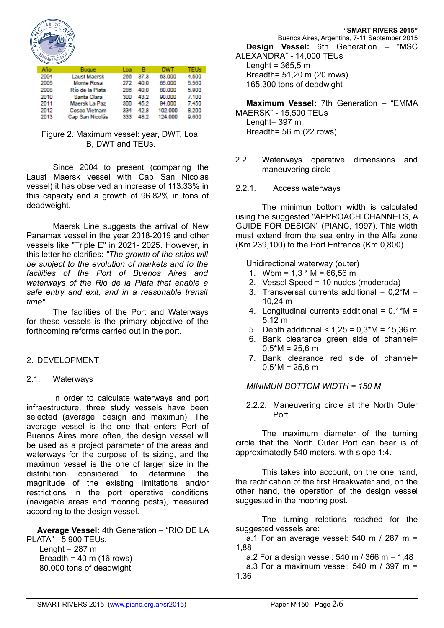

| Año  | <b>Bugue</b>    | Loa | в    | <b>DWT</b> | <b>TEUs</b> |
|------|-----------------|-----|------|------------|-------------|
| 2004 | Laust Maersk    | 266 | 37.3 | 63.000     | 4,500       |
| 2005 | Monte Rosa      | 272 | 40.0 | 65,000     | 5,560       |
| 2008 | Río de la Plata | 286 | 40.0 | 80.000     | 5,900       |
| 2010 | Santa Clara     | 300 | 43.2 | 90.000     | 7.100       |
| 2011 | Maersk La Paz   | 300 | 45.2 | 94.000     | 7.450       |
| 2012 | Cosco Vietnam   | 334 | 42.8 | 102.000    | 8.200       |
| 2013 | Cap San Nicolás | 333 | 48.2 | 124.000    | 9.600       |

Figure 2. Maximum vessel: year, DWT, Loa, B, DWT and TEUs.

Since 2004 to present (comparing the Laust Maersk vessel with Cap San Nicolas vessel) it has observed an increase of 113.33% in this capacity and a growth of 96.82% in tons of deadweight.

Maersk Line suggests the arrival of New Panamax vessel in the year 2018-2019 and other vessels like "Triple E" in 2021- 2025. However, in this letter he clarifies: *"The growth of the ships will be subject to the evolution of markets and to the facilities of the Port of Buenos Aires and waterways of the Rio de la Plata that enable a safe entry and exit, and in a reasonable transit time".*

The facilities of the Port and Waterways for these vessels is the primary objective of the forthcoming reforms carried out in the port.

#### 2. DEVELOPMENT

#### 2.1. Waterways

In order to calculate waterways and port infraestructure, three study vessels have been selected (average, design and maximun). The average vessel is the one that enters Port of Buenos Aires more often, the design vessel will be used as a project parameter of the areas and waterways for the purpose of its sizing, and the maximun vessel is the one of larger size in the distribution considered to determine the magnitude of the existing limitations and/or restrictions in the port operative conditions (navigable areas and mooring posts), measured according to the design vessel.

**Average Vessel:** 4th Generation – "RIO DE LA PLATA" - 5,900 TEUs.

Lenght =  $287 \text{ m}$ Breadth =  $40 \text{ m}$  (16 rows) 80.000 tons of deadwight

Buenos Aires, Argentina, 7-11 September 2015

**Design Vessel:** 6th Generation – "MSC ALEXANDRA" - 14,000 TEUs

Lenght =  $365.5$  m Breadth= 51,20 m (20 rows) 165.300 tons of deadwight

**Maximum Vessel:** 7th Generation – "EMMA

MAERSK" - 15,500 TEUs Lenght= 397 m Breadth= 56 m (22 rows)

- 2.2. Waterways operative dimensions and maneuvering circle
- 2.2.1. Access waterways

The minimun bottom width is calculated using the suggested "APPROACH CHANNELS, A GUIDE FOR DESIGN" (PIANC, 1997). This width must extend from the sea entry in the Alfa zone (Km 239,100) to the Port Entrance (Km 0,800).

Unidirectional waterway (outer)

- 1. Wbm =  $1.3 * M = 66,56 m$
- 2. Vessel Speed = 10 nudos (moderada)
- 3. Transversal currents additional =  $0.2^*M$  = 10,24 m
- 4. Longitudinal currents additional =  $0,1^*M$  = 5,12 m
- 5. Depth additional  $< 1,25 = 0,3 M = 15,36 m$
- 6. Bank clearance green side of channel=  $0.5*M = 25.6 m$
- 7. Bank clearance red side of channel=  $0.5*M = 25.6 m$

#### *MINIMUN BOTTOM WIDTH = 150 M*

2.2.2. Maneuvering circle at the North Outer Port

The maximum diameter of the turning circle that the North Outer Port can bear is of approximatedly 540 meters, with slope 1:4.

This takes into account, on the one hand, the rectification of the first Breakwater and, on the other hand, the operation of the design vessel suggested in the mooring post.

The turning relations reached for the suggested vessels are:

a.1 For an average vessel:  $540$  m / 287 m = 1,88

a.2 For a design vessel: 540 m / 366 m = 1,48

a.3 For a maximum vessel: 540 m / 397 m = 1,36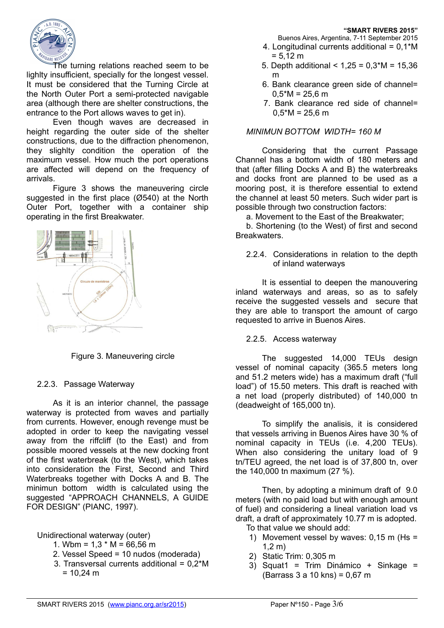

The turning relations reached seem to be lighlty insufficient, specially for the longest vessel. It must be considered that the Turning Circle at the North Outer Port a semi-protected navigable area (although there are shelter constructions, the entrance to the Port allows waves to get in).

Even though waves are decreased in height regarding the outer side of the shelter constructions, due to the diffraction phenomenon, they slighlty condition the operation of the maximum vessel. How much the port operations are affected will depend on the frequency of arrivals.

Figure 3 shows the maneuvering circle suggested in the first place (Ø540) at the North Outer Port, together with a container ship operating in the first Breakwater.



Figure 3. Maneuvering circle

# 2.2.3. Passage Waterway

As it is an interior channel, the passage waterway is protected from waves and partially from currents. However, enough revenge must be adopted in order to keep the navigating vessel away from the riffcliff (to the East) and from possible moored vessels at the new docking front of the first waterbreak (to the West), which takes into consideration the First, Second and Third Waterbreaks together with Docks A and B. The minimun bottom width is calculated using the suggested "APPROACH CHANNELS, A GUIDE FOR DESIGN" (PIANC, 1997).

# Unidirectional waterway (outer)

- 1. Wbm =  $1.3 * M = 66,56 m$
- 2. Vessel Speed = 10 nudos (moderada)
- 3. Transversal currents additional = 0,2\*M  $= 10,24 \text{ m}$

**"SMART RIVERS 2015"**

- Buenos Aires, Argentina, 7-11 September 2015 4. Longitudinal currents additional = 0,1\*M
- $= 5.12 m$
- 5. Depth additional  $< 1.25 = 0.3$ \*M = 15.36 m
- 6. Bank clearance green side of channel=  $0,5^*M = 25,6 \text{ m}$
- 7. Bank clearance red side of channel=  $0.5*M = 25.6$  m

#### *MINIMUN BOTTOM WIDTH= 160 M*

Considering that the current Passage Channel has a bottom width of 180 meters and that (after filling Docks A and B) the waterbreaks and docks front are planned to be used as a mooring post, it is therefore essential to extend the channel at least 50 meters. Such wider part is possible through two construction factors:

a. Movement to the East of the Breakwater;

b. Shortening (to the West) of first and second Breakwaters.

2.2.4. Considerations in relation to the depth of inland waterways

It is essential to deepen the manouvering inland waterways and areas, so as to safely receive the suggested vessels and secure that they are able to transport the amount of cargo requested to arrive in Buenos Aires.

#### 2.2.5. Access waterway

The suggested 14,000 TEUs design vessel of nominal capacity (365.5 meters long and 51.2 meters wide) has a maximum draft ("full load") of 15.50 meters. This draft is reached with a net load (properly distributed) of 140,000 tn (deadweight of 165,000 tn).

To simplify the analisis, it is considered that vessels arriving in Buenos Aires have 30 % of nominal capacity in TEUs (i.e. 4,200 TEUs). When also considering the unitary load of 9 tn/TEU agreed, the net load is of 37,800 tn, over the 140,000 tn maximum (27 %).

Then, by adopting a minimum draft of 9.0 meters (with no paid load but with enough amount of fuel) and considering a lineal variation load vs draft, a draft of approximately 10.77 m is adopted.

To that value we should add:

- 1) Movement vessel by waves:  $0.15$  m (Hs = 1,2 m)
- 2) Static Trim: 0,305 m
- 3) Squat1 = Trim Dinámico + Sinkage = (Barrass 3 a 10 kns) = 0,67 m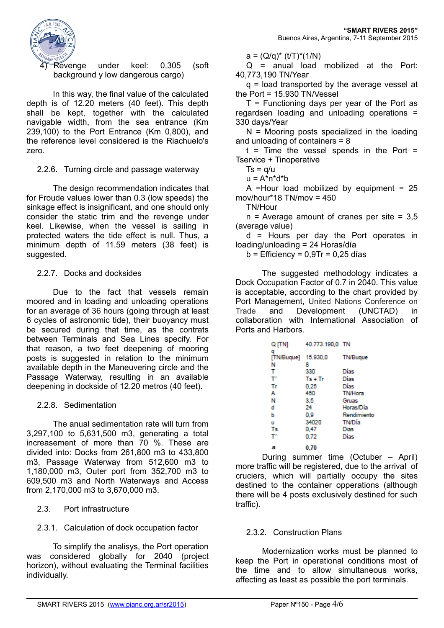

4) Revenge under keel: 0,305 (soft background y low dangerous cargo)

In this way, the final value of the calculated depth is of 12.20 meters (40 feet). This depth shall be kept, together with the calculated navigable width, from the sea entrance (Km 239,100) to the Port Entrance (Km 0,800), and the reference level considered is the Riachuelo's zero.

#### 2.2.6. Turning circle and passage waterway

The design recommendation indicates that for Froude values lower than 0.3 (low speeds) the sinkage effect is insignificant, and one should only consider the static trim and the revenge under keel. Likewise, when the vessel is sailing in protected waters the tide effect is null. Thus, a minimum depth of 11.59 meters (38 feet) is suggested.

# 2.2.7. Docks and docksides

Due to the fact that vessels remain moored and in loading and unloading operations for an average of 36 hours (going through at least 6 cycles of astronomic tide), their buoyancy must be secured during that time, as the contrats between Terminals and Sea Lines specify. For that reason, a two feet deepening of mooring posts is suggested in relation to the minimum available depth in the Maneuvering circle and the Passage Waterway, resulting in an available deepening in dockside of 12.20 metros (40 feet).

# 2.2.8. Sedimentation

The anual sedimentation rate will turn from 3,297,100 to 5,631,500 m3, generating a total increasement of more than 70 %. These are divided into: Docks from 261,800 m3 to 433,800 m3, Passage Waterway from 512,600 m3 to 1,180,000 m3, Outer port from 352,700 m3 to 609,500 m3 and North Waterways and Access from 2,170,000 m3 to 3,670,000 m3.

# 2.3. Port infrastructure

# 2.3.1. Calculation of dock occupation factor

To simplify the analisys, the Port operation was considered globally for 2040 (project horizon), without evaluating the Terminal facilities individually.

 $a = (Q/a)^*$  (t/T)\*(1/N)

 $Q =$  anual load mobilized at the Port: 40,773,190 TN/Year

q = load transported by the average vessel at the Port = 15.930 TN/Vessel

 $T$  = Functioning days per year of the Port as regardsen loading and unloading operations = 330 days/Year

 $N =$  Mooring posts specialized in the loading and unloading of containers = 8

 $t =$  Time the vessel spends in the Port = Tservice + Tinoperative

 $Ts = g/u$ 

 $u = A^*n^*d^*b$ 

A =Hour load mobilized by equipment =  $25$ mov/hour\*18 TN/mov = 450

TN/Hour

 $n =$  Average amount of cranes per site = 3.5 (average value)

d = Hours per day the Port operates in loading/unloading = 24 Horas/día

 $b =$  Efficiency =  $0.9$ Tr =  $0.25$  días

The suggested methodology indicates a Dock Occupation Factor of 0.7 in 2040. This value is acceptable, according to the chart provided by Port Management, United Nations Conference on Trade and Development (UNCTAD) in collaboration with International Association of Ports and Harbors.

| Q [TN]                   | 40.773.190,0 TN |                 |
|--------------------------|-----------------|-----------------|
| q<br>[TN/Bugue] 15.930,0 |                 | <b>TN/Bugue</b> |
| N                        | 8               |                 |
| т                        | 330             | Días            |
| т                        | $Ts + Tr$       | Días            |
| Tr                       | 0.25            | Días            |
| А                        | 450             | <b>TN/Hora</b>  |
| N                        | 3.5             | Gruas           |
| d                        | 24              | Horas/Día       |
| ь                        | 0.9             | Rendimiento     |
| u                        | 34020           | <b>TN/Dia</b>   |
| Τs                       | 0.47            | <b>Dias</b>     |
| т                        | 0.72            | Días            |
| а                        | 0.70            |                 |

During summer time (Octuber – April) more traffic will be registered, due to the arrival of cruciers, which will partially occupy the sites destined to the container opperations (although there will be 4 posts exclusively destined for such traffic).

# 2.3.2. Construction Plans

Modernization works must be planned to keep the Port in operational conditions most of the time and to allow simultaneous works, affecting as least as possible the port terminals.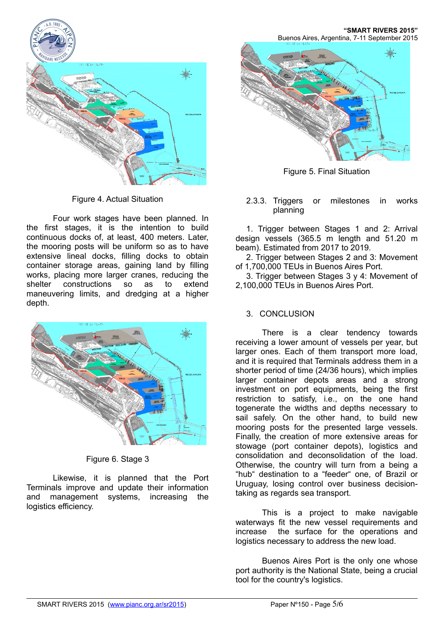

Figure 4. Actual Situation

Four work stages have been planned. In the first stages, it is the intention to build continuous docks of, at least, 400 meters. Later, the mooring posts will be uniform so as to have extensive lineal docks, filling docks to obtain container storage areas, gaining land by filling works, placing more larger cranes, reducing the shelter constructions so as to extend maneuvering limits, and dredging at a higher depth.



Figure 6. Stage 3

Likewise, it is planned that the Port Terminals improve and update their information and management systems, increasing the logistics efficiency.

**"SMART RIVERS 2015"** Buenos Aires, Argentina, 7-11 September 2015



Figure 5. Final Situation

#### 2.3.3. Triggers or milestones in works planning

1. Trigger between Stages 1 and 2: Arrival design vessels (365.5 m length and 51.20 m beam). Estimated from 2017 to 2019.

2. Trigger between Stages 2 and 3: Movement of 1,700,000 TEUs in Buenos Aires Port.

3. Trigger between Stages 3 y 4: Movement of 2,100,000 TEUs in Buenos Aires Port.

# 3. CONCLUSION

There is a clear tendency towards receiving a lower amount of vessels per year, but larger ones. Each of them transport more load, and it is required that Terminals address them in a shorter period of time (24/36 hours), which implies larger container depots areas and a strong investment on port equipments, being the first restriction to satisfy, i.e., on the one hand togenerate the widths and depths necessary to sail safely. On the other hand, to build new mooring posts for the presented large vessels. Finally, the creation of more extensive areas for stowage (port container depots), logistics and consolidation and deconsolidation of the load. Otherwise, the country will turn from a being a "hub" destination to a "feeder" one, of Brazil or Uruguay, losing control over business decisiontaking as regards sea transport.

This is a project to make navigable waterways fit the new vessel requirements and increase the surface for the operations and logistics necessary to address the new load.

Buenos Aires Port is the only one whose port authority is the National State, being a crucial tool for the country's logistics.